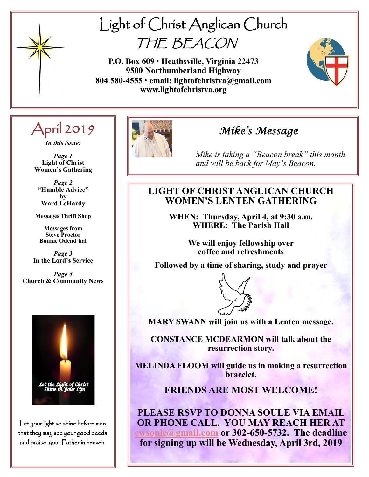

# Light of Christ Anglican Church THE BEACON

**P.O. Box 609 • Heathsville, Virginia 22473 9500 Northumberland Highway 804 580-4555 • email: lightofchristva@gmail.com www.lightofchristva.org**



# April 2019

*In this issue:*

*Page 1* **Light of Christ Women's Gathering**

*Page 2* **"Humble Advice" by Ward LeHardy**

**Messages Thrift Shop**

**Messages from Steve Proctor Bonnie Odend'hal**

*Page 3* **In the Lord's Service**

*Page 4* **Church & Community News**



Let your light so shine before men that they may see your good deeds and praise your Father in heaven.



# *Mike's Message*

*Mike is taking a "Beacon break" this month and will be back for May's Beacon.*

## **LIGHT OF CHRIST ANGLICAN CHURCH WOMEN'S LENTEN GATHERING**

**WHEN: Thursday, April 4, at 9:30 a.m. WHERE: The Parish Hall** 

> **We will enjoy fellowship over coffee and refreshments**

**Followed by a time of sharing, study and prayer**



**MARY SWANN will join us with a Lenten message.** 

**CONSTANCE MCDEARMON will talk about the resurrection story.** 

**MELINDA FLOOM will guide us in making a resurrection bracelet.**

### **FRIENDS ARE MOST WELCOME!**

**PLEASE RSVP TO DONNA SOULE VIA EMAIL OR PHONE CALL. YOU MAY REACH HER AT [cwsoule@gmail.com](mailto:cwsoule@gmail.com) or 302-650-5732. The deadline for signing up will be Wednesday, April 3rd, 2019**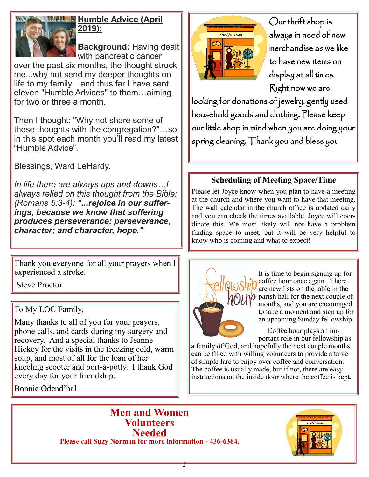

## **HULLE Humble Advice (April 2019):**

**Background:** Having dealt with pancreatic cancer

over the past six months, the thought struck me...why not send my deeper thoughts on life to my family…and thus far I have sent eleven "Humble Advices" to them…aiming for two or three a month.

Then I thought: "Why not share some of these thoughts with the congregation?"…so, in this spot each month you'll read my latest "Humble Advice".

Blessings, Ward LeHardy.

*In life there are always ups and downs…I always relied on this thought from the Bible: (Romans 5:3-4): "...rejoice in our sufferings, because we know that suffering produces perseverance; perseverance, character; and character, hope."*

Thank you everyone for all your prayers when I experienced a stroke.

Steve Proctor

To My LOC Family,

Many thanks to all of you for your prayers, phone calls, and cards during my surgery and recovery. And a special thanks to Jeanne Hickey for the visits in the freezing cold, warm soup, and most of all for the loan of her kneeling scooter and port-a-potty. I thank God every day for your friendship.

Bonnie Odend'hal



Our thrift shop is always in need of new merchandise as we like to have new items on display at all times. Right now we are

looking for donations of jewelry, gently used household goods and clothing. Please keep our little shop in mind when you are doing your spring cleaning. Thank you and bless you.

# **Scheduling of Meeting Space/Time**

Please let Joyce know when you plan to have a meeting at the church and where you want to have that meeting. The wall calendar in the church office is updated daily and you can check the times available. Joyce will coordinate this. We most likely will not have a problem finding space to meet, but it will be very helpful to know who is coming and what to expect!



It is time to begin signing up for coffee hour once again. There are new lists on the table in the  $\gamma$  parish hall for the next couple of months, and you are encouraged to take a moment and sign up for an upcoming Sunday fellowship.

 Coffee hour plays an important role in our fellowship as

a family of God, and hopefully the next couple months can be filled with willing volunteers to provide a table of simple fare to enjoy over coffee and conversation. The coffee is usually made, but if not, there are easy instructions on the inside door where the coffee is kept.

**Men and Women Volunteers Needed Please call Suzy Norman for more information - 436-6364.**

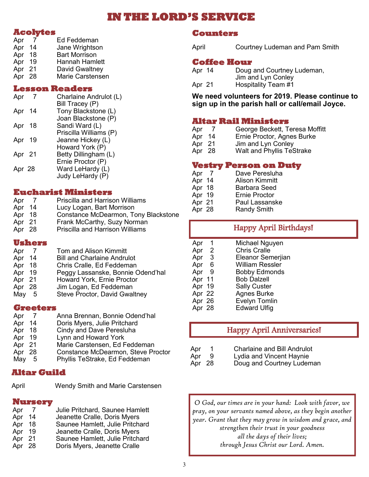# **IN THE LORD'S SERVICE**

#### **Acolytes**

| Apr    |    | Ed Feddeman             |  |  |  |
|--------|----|-------------------------|--|--|--|
| Apr    | 14 | Jane Wrightson          |  |  |  |
| Apr 18 |    | <b>Bart Morrison</b>    |  |  |  |
| Apr 19 |    | Hannah Hamlett          |  |  |  |
| Apr 21 |    | David Gwaltney          |  |  |  |
| Apr 28 |    | <b>Marie Carstensen</b> |  |  |  |

#### **Lesson Readers**

| Apr    | Charlaine Andrulot (L) |
|--------|------------------------|
|        | Bill Tracey (P)        |
| Apr 14 | Tony Blackstone (L)    |
|        | Joan Blackstone (P)    |
| Apr 18 | Sandi Ward (L)         |
|        | Priscilla Williams (P) |
| Apr 19 | Jeanne Hickey (L)      |
|        | Howard York (P)        |
| Apr 21 | Betty Dillingham (L)   |
|        | Ernie Proctor (P)      |
| Apr 28 | Ward LeHardy (L)       |
|        | Judy LeHardy (P)       |
|        |                        |

#### **Eucharist Ministers**

| Apr    |    | <b>Priscilla and Harrison Williams</b> |
|--------|----|----------------------------------------|
| Apr    | 14 | Lucy Logan, Bart Morrison              |
| Apr 18 |    | Constance McDearmon, Tony Blackstone   |
| Apr 21 |    | Frank McCarthy, Suzy Norman            |
| Apr 28 |    | Priscilla and Harrison Williams        |
|        |    |                                        |

#### **Ushers**

| Apr    |     | <b>Tom and Alison Kimmitt</b>        |
|--------|-----|--------------------------------------|
| Apr    | 14  | <b>Bill and Charlaine Andrulot</b>   |
| Apr    | 18  | Chris Cralle, Ed Feddeman            |
| Apr    | 19  | Peggy Lassanske, Bonnie Odend'hal    |
| Apr 21 |     | Howard York, Ernie Proctor           |
| Apr 28 |     | Jim Logan, Ed Feddeman               |
| May    | - 5 | <b>Steve Proctor, David Gwaltney</b> |
|        |     |                                      |

#### **Greeters**

| Apr    |     | Anna Brennan, Bonnie Odend'hal            |
|--------|-----|-------------------------------------------|
| Apr    | 14  | Doris Myers, Julie Pritchard              |
| Apr    | 18  | Cindy and Dave Peresluha                  |
| Apr    | -19 | Lynn and Howard York                      |
| Apr 21 |     | Marie Carstensen, Ed Feddeman             |
| Apr 28 |     | <b>Constance McDearmon, Steve Proctor</b> |
| May    | 5   | Phyllis TeStrake, Ed Feddeman             |

#### **Altar Guild**

April Wendy Smith and Marie Carstensen

#### **Nursery**

| Apr    | $\overline{7}$ | Julie Pritchard, Saunee Hamlett |
|--------|----------------|---------------------------------|
| Apr    | 14             | Jeanette Cralle, Doris Myers    |
| Apr    | 18             | Saunee Hamlett, Julie Pritchard |
| Apr    | 19             | Jeanette Cralle, Doris Myers    |
| Apr 21 |                | Saunee Hamlett, Julie Pritchard |
| Apr 28 |                | Doris Myers, Jeanette Cralle    |

#### **Counters**

April Courtney Ludeman and Pam Smith

#### **Coffee Hour**

| Apr 14 | Doug and Courtney Ludeman, |
|--------|----------------------------|
|        | Jim and Lyn Conley         |
| Apr 21 | Hospitality Team #1        |

**We need volunteers for 2019. Please continue to sign up in the parish hall or call/email Joyce.**

#### **Altar Rail Ministers**

- Apr 7 George Beckett, Teresa Moffitt<br>
Apr 14 Ernie Proctor, Agnes Burke<br>
Apr 21 Jim and Lyn Conley
- Ernie Proctor, Agnes Burke
- Apr 21 Jim and Lyn Conley<br>Apr 28 Walt and Phyllis Tes
- Walt and Phyllis TeStrake

#### **Vestry Person on Duty**

| Apr 7  | Dave Peresluha        |
|--------|-----------------------|
| Apr 14 | <b>Alison Kimmitt</b> |
| Apr 18 | <b>Barbara Seed</b>   |
| Apr 19 | Ernie Proctor         |
| Apr 21 | Paul Lassanske        |
| Apr 28 | <b>Randy Smith</b>    |

| Apr<br>1                          | Michael Nguyen       |
|-----------------------------------|----------------------|
| 2<br>Apr                          | <b>Chris Cralle</b>  |
| $\overline{\phantom{a}}$ 3<br>Apr | Eleanor Semerjian    |
| Apr 6                             | William Ressler      |
| Apr 9                             | <b>Bobby Edmonds</b> |
| Apr 11                            | <b>Bob Dalzell</b>   |
| Apr 19                            | <b>Sally Custer</b>  |
| Apr 22                            | <b>Agnes Burke</b>   |
| Apr 26                            | <b>Evelyn Tomlin</b> |
| Apr 28                            | <b>Edward Ulfig</b>  |

### Happy April Anniversaries!

Happy April Birthdays!

| Apr      | <b>Charlaine and Bill Andrulot</b>   |
|----------|--------------------------------------|
| <b>A</b> | $l$ valignment $l$ import $l$ levels |

| Apr    | Lydia and Vincent Haynie  |
|--------|---------------------------|
| Apr 28 | Doug and Courtney Ludeman |

*O God, our times are in your hand: Look with favor, we pray, on your servants named above, as they begin another year. Grant that they may grow in wisdom and grace, and strengthen their trust in your goodness all the days of their lives; through Jesus Christ our Lord. Amen.*